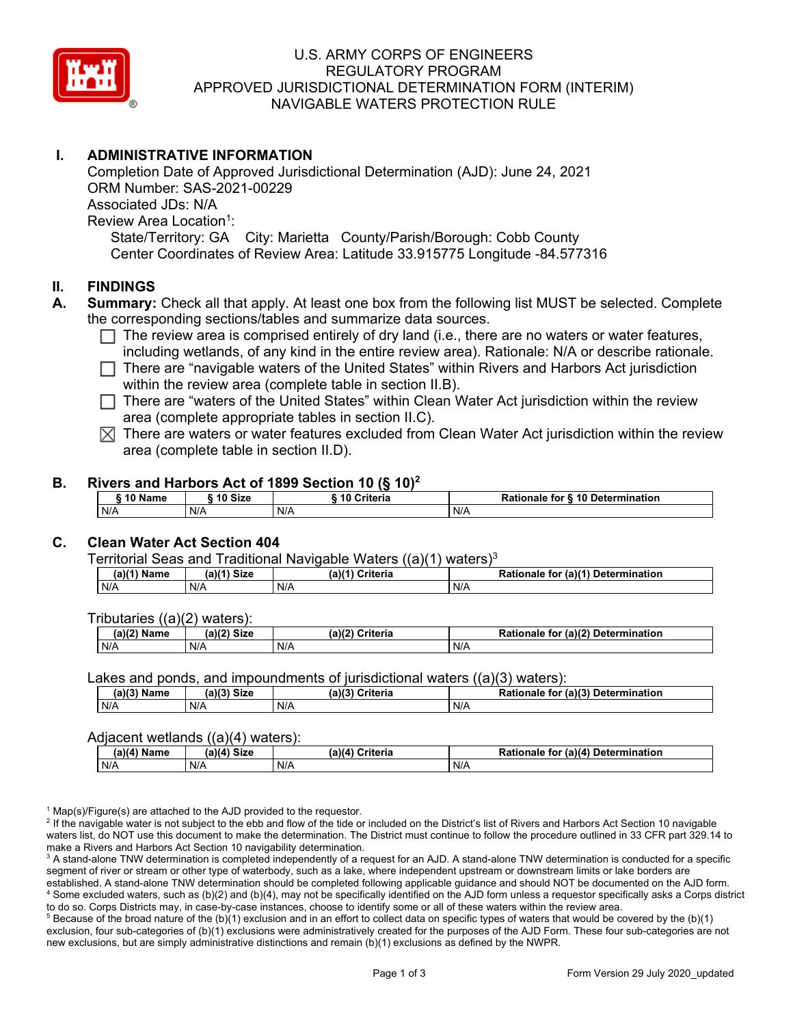

# U.S. ARMY CORPS OF ENGINEERS REGULATORY PROGRAM APPROVED JURISDICTIONAL DETERMINATION FORM (INTERIM) NAVIGABLE WATERS PROTECTION RULE

# **I. ADMINISTRATIVE INFORMATION**

 State/Territory: GA City: Marietta County/Parish/Borough: Cobb County Completion Date of Approved Jurisdictional Determination (AJD): June 24, 2021 ORM Number: SAS-2021-00229 Associated JDs: N/A Review Area Location<sup>1</sup>: Center Coordinates of Review Area: Latitude 33.915775 Longitude -84.577316

### **II. FINDINGS**

- **A. Summary:** Check all that apply. At least one box from the following list MUST be selected. Complete the corresponding sections/tables and summarize data sources.
	- $\Box$  The review area is comprised entirely of dry land (i.e., there are no waters or water features, including wetlands, of any kind in the entire review area). Detianals  $M/\sqrt{a}$  at describe rationals including wetlands, of any kind in the entire review area). Rationale: N/A or describe rationale.
	- □ There are "navigable waters of the United States" within Rivers and Harbors Act jurisdiction within the review area (complete table in section II.B).
	- □ There are "waters of the United States" within Clean Water Act jurisdiction within the review<br>
	area (complete appropriate tables in costion II G) area (complete appropriate tables in section II.C).
	- $\boxtimes$  There are waters or water features excluded from Clean Water Act jurisdiction within the review area (complete table in section II.D).

#### **B. Rivers and Harbors Act of 1899 Section 10 (§ 10)<sup>2</sup>**

| 10 Name | ີ <sup>4</sup> 0 Size | 10 Criteria | Rationale for § 10 Determination |  |
|---------|-----------------------|-------------|----------------------------------|--|
| N/A     | N/A                   | N/A         | N/A                              |  |

#### **C. Clean Water Act Section 404**

Territorial Seas and Traditional Navigable Waters  $((a)(1)$  waters)<sup>3</sup>

| Name<br>(a) | $\mathcal{M}(1)$ Size<br>ıa | a)/1'<br>$\sim$ $\cdot$ $\cdot$ $\cdot$ $\cdot$<br>Jriteria | <b>Determination</b><br>$\pi$ (a) $\ell^*$<br>Rationale<br>tor |
|-------------|-----------------------------|-------------------------------------------------------------|----------------------------------------------------------------|
| N/A         | N/A                         | N/A                                                         | N/A                                                            |

Tributaries ((a)(2) waters):

| (a)/2<br><b>Name</b> | $\sim$ 10 <sup>2</sup><br><b>Size</b><br> | (a)(2)<br>≎riteria | (a)(2) Determination<br>Datiane<br>tor<br>naie |
|----------------------|-------------------------------------------|--------------------|------------------------------------------------|
| N/A                  | N/A                                       | N/A                | N/A                                            |

Lakes and ponds, and impoundments of jurisdictional waters ((a)(3) waters):

| (a)(3) Name | (2)<br>Siz∈ | $(a)$ $(2)$<br>Criteria | (a)(3) Determination<br>Rationale<br>tor |
|-------------|-------------|-------------------------|------------------------------------------|
| N/A         | N/A         | N/A                     | N/A                                      |

#### Adjacent wetlands ((a)(4) waters):

| (a)(4) Name | Size<br>(a)(4) | . <i>.</i> .<br>Criteria<br>ana. | $($ a)(4 $^{\circ}$<br>Rationale<br>Determination<br>tor |
|-------------|----------------|----------------------------------|----------------------------------------------------------|
| N/A         | N/A            | N/A                              | N/A                                                      |

 $1$  Map(s)/Figure(s) are attached to the AJD provided to the requestor.

<sup>2</sup> If the navigable water is not subject to the ebb and flow of the tide or included on the District's list of Rivers and Harbors Act Section 10 navigable waters list, do NOT use this document to make the determination. The District must continue to follow the procedure outlined in 33 CFR part 329.14 to make a Rivers and Harbors Act Section 10 navigability determination.

 $^3$  A stand-alone TNW determination is completed independently of a request for an AJD. A stand-alone TNW determination is conducted for a specific segment of river or stream or other type of waterbody, such as a lake, where independent upstream or downstream limits or lake borders are established. A stand-alone TNW determination should be completed following applicable guidance and should NOT be documented on the AJD form. 4 Some excluded waters, such as (b)(2) and (b)(4), may not be specifically identified on the AJD form unless a requestor specifically asks a Corps district to do so. Corps Districts may, in case-by-case instances, choose to identify some or all of these waters within the review area.

 $^5$  Because of the broad nature of the (b)(1) exclusion and in an effort to collect data on specific types of waters that would be covered by the (b)(1) exclusion, four sub-categories of (b)(1) exclusions were administratively created for the purposes of the AJD Form. These four sub-categories are not new exclusions, but are simply administrative distinctions and remain (b)(1) exclusions as defined by the NWPR.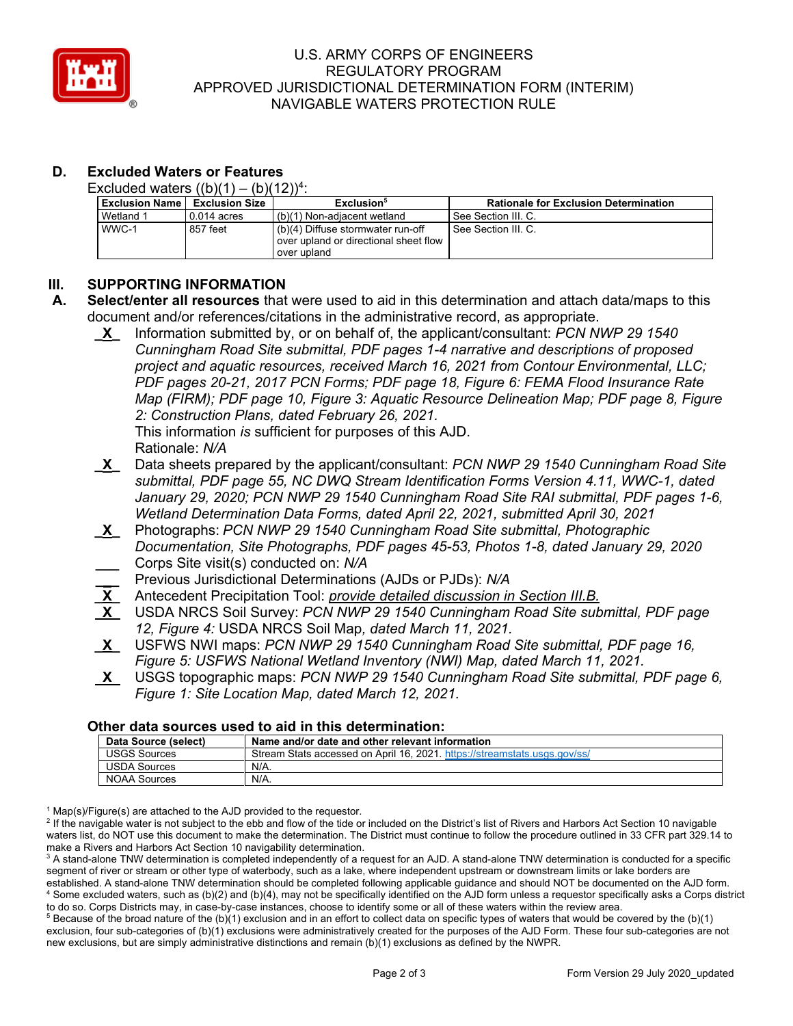

# U.S. ARMY CORPS OF ENGINEERS REGULATORY PROGRAM APPROVED JURISDICTIONAL DETERMINATION FORM (INTERIM) NAVIGABLE WATERS PROTECTION RULE

# **D. Excluded Waters or Features**

Excluded waters  $((b)(1) - (b)(12))^4$ :

| <b>Exclusion Name I</b> | <b>Exclusion Size</b> | Exclusion <sup>5</sup>                                                                    | <b>Rationale for Exclusion Determination</b> |
|-------------------------|-----------------------|-------------------------------------------------------------------------------------------|----------------------------------------------|
| Wetland 1               | $0.014$ acres         | (b)(1) Non-adiacent wetland                                                               | See Section III. C.                          |
| WWC-1                   | 857 feet              | (b)(4) Diffuse stormwater run-off<br>over upland or directional sheet flow<br>over upland | See Section III. C.                          |

## **III. SUPPORTING INFORMATION**

- **A. Select/enter all resources** that were used to aid in this determination and attach data/maps to this document and/or references/citations in the administrative record, as appropriate.
	- *2: Construction Plans, dated February 26, 2021.* **\_X\_** Information submitted by, or on behalf of, the applicant/consultant: *PCN NWP 29 1540 Cunningham Road Site submittal, PDF pages 1-4 narrative and descriptions of proposed project and aquatic resources, received March 16, 2021 from Contour Environmental, LLC; PDF pages 20-21, 2017 PCN Forms; PDF page 18, Figure 6: FEMA Flood Insurance Rate Map (FIRM); PDF page 10, Figure 3: Aquatic Resource Delineation Map; PDF page 8, Figure*

 This information *is* sufficient for purposes of this AJD. Rationale: *N/A* 

- *January 29, 2020; PCN NWP 29 1540 Cunningham Road Site RAI submittal, PDF pages 1-6,*  **\_X\_** Data sheets prepared by the applicant/consultant: *PCN NWP 29 1540 Cunningham Road Site submittal, PDF page 55, NC DWQ Stream Identification Forms Version 4.11, WWC-1, dated Wetland Determination Data Forms, dated April 22, 2021, submitted April 30, 2021*
- **\_X\_** Photographs: *PCN NWP 29 1540 Cunningham Road Site submittal, Photographic Documentation, Site Photographs, PDF pages 45-53, Photos 1-8, dated January 29, 2020*  **\_\_\_** Corps Site visit(s) conducted on: *N/A* 
	- **\_ \_** Previous Jurisdictional Determinations (AJDs or PJDs): *N/A*
- **\_X\_** Antecedent Precipitation Tool: *provide detailed discussion in Section III.B.*
- *12, Figure 4:* USDA NRCS Soil Map*, dated March 11, 2021.*  **X** USDA NRCS Soil Survey: *PCN NWP 29 1540 Cunningham Road Site submittal, PDF page*
- **\_X\_** USFWS NWI maps: *PCN NWP 29 1540 Cunningham Road Site submittal, PDF page 16, Figure 5: USFWS National Wetland Inventory (NWI) Map, dated March 11, 2021.*
- **X** USGS topographic maps: *PCN NWP 29 1540 Cunningham Road Site submittal, PDF page 6, Figure 1: Site Location Map, dated March 12, 2021.*

### **Other data sources used to aid in this determination:**

| Data Source (select) | Name and/or date and other relevant information                           |
|----------------------|---------------------------------------------------------------------------|
| USGS Sources         | Stream Stats accessed on April 16, 2021. https://streamstats.usgs.gov/ss/ |
| USDA Sources         | $N/A$ .                                                                   |
| NOAA Sources         | N/A.                                                                      |

 $1$  Map(s)/Figure(s) are attached to the AJD provided to the requestor.

<sup>2</sup> If the navigable water is not subject to the ebb and flow of the tide or included on the District's list of Rivers and Harbors Act Section 10 navigable waters list, do NOT use this document to make the determination. The District must continue to follow the procedure outlined in 33 CFR part 329.14 to make a Rivers and Harbors Act Section 10 navigability determination.

 $^3$  A stand-alone TNW determination is completed independently of a request for an AJD. A stand-alone TNW determination is conducted for a specific segment of river or stream or other type of waterbody, such as a lake, where independent upstream or downstream limits or lake borders are established. A stand-alone TNW determination should be completed following applicable guidance and should NOT be documented on the AJD form. 4 Some excluded waters, such as (b)(2) and (b)(4), may not be specifically identified on the AJD form unless a requestor specifically asks a Corps district to do so. Corps Districts may, in case-by-case instances, choose to identify some or all of these waters within the review area.

 $^5$  Because of the broad nature of the (b)(1) exclusion and in an effort to collect data on specific types of waters that would be covered by the (b)(1) exclusion, four sub-categories of (b)(1) exclusions were administratively created for the purposes of the AJD Form. These four sub-categories are not new exclusions, but are simply administrative distinctions and remain (b)(1) exclusions as defined by the NWPR.